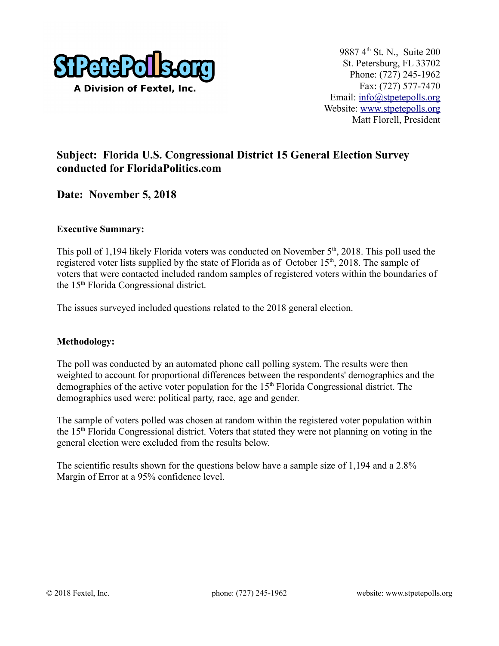

# **Subject: Florida U.S. Congressional District 15 General Election Survey conducted for FloridaPolitics.com**

### **Date: November 5, 2018**

#### **Executive Summary:**

This poll of 1,194 likely Florida voters was conducted on November  $5<sup>th</sup>$ , 2018. This poll used the registered voter lists supplied by the state of Florida as of October 15<sup>th</sup>, 2018. The sample of voters that were contacted included random samples of registered voters within the boundaries of the 15th Florida Congressional district.

The issues surveyed included questions related to the 2018 general election.

#### **Methodology:**

The poll was conducted by an automated phone call polling system. The results were then weighted to account for proportional differences between the respondents' demographics and the demographics of the active voter population for the  $15<sup>th</sup>$  Florida Congressional district. The demographics used were: political party, race, age and gender.

The sample of voters polled was chosen at random within the registered voter population within the 15th Florida Congressional district. Voters that stated they were not planning on voting in the general election were excluded from the results below.

The scientific results shown for the questions below have a sample size of 1,194 and a 2.8% Margin of Error at a 95% confidence level.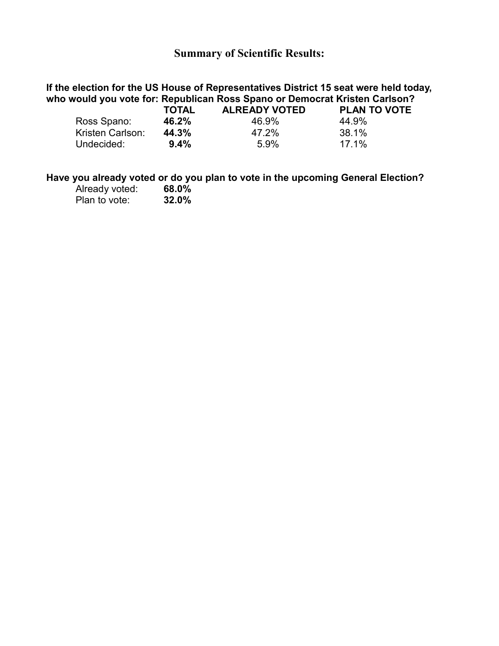### **Summary of Scientific Results:**

## **If the election for the US House of Representatives District 15 seat were held today, who would you vote for: Republican Ross Spano or Democrat Kristen Carlson?**

|                  | <b>TOTAL</b> | <b>ALREADY VOTED</b> | <b>PLAN TO VOTE</b> |
|------------------|--------------|----------------------|---------------------|
| Ross Spano:      | 46.2%        | 46.9%                | 44.9%               |
| Kristen Carlson: | 44.3%        | 47.2%                | 38.1%               |
| Undecided:       | 9.4%         | $5.9\%$              | 17.1%               |

#### **Have you already voted or do you plan to vote in the upcoming General Election?**

| Already voted: | 68.0% |
|----------------|-------|
| Plan to vote:  | 32.0% |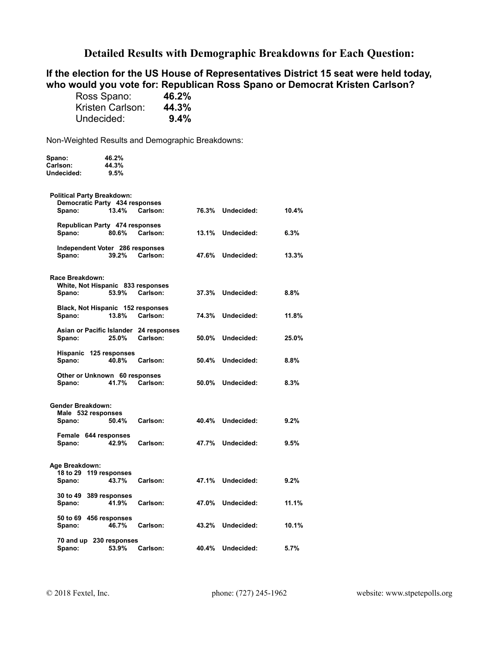### **Detailed Results with Demographic Breakdowns for Each Question:**

#### **If the election for the US House of Representatives District 15 seat were held today, who would you vote for: Republican Ross Spano or Democrat Kristen Carlson?**

| Ross Spano:      | 46.2% |
|------------------|-------|
| Kristen Carlson: | 44.3% |
| Undecided:       | 9.4%  |

Non-Weighted Results and Demographic Breakdowns:

| Spano:                                         | 46.2%                             |                                        |       |            |       |
|------------------------------------------------|-----------------------------------|----------------------------------------|-------|------------|-------|
| Carlson:                                       | 44.3%                             |                                        |       |            |       |
| Undecided:                                     | 9.5%                              |                                        |       |            |       |
| <b>Political Party Breakdown:</b>              |                                   |                                        |       |            |       |
|                                                | Democratic Party 434 responses    |                                        |       |            |       |
| Spano:                                         | 13.4%                             | Carlson:                               | 76.3% | Undecided: | 10.4% |
|                                                | Republican Party 474 responses    |                                        |       |            |       |
| Spano:                                         | 80.6%                             | Carlson:                               | 13.1% | Undecided: | 6.3%  |
|                                                | Independent Voter 286 responses   |                                        |       |            |       |
| Spano:                                         | 39.2%                             | Carlson:                               | 47.6% | Undecided: | 13.3% |
|                                                |                                   |                                        |       |            |       |
| Race Breakdown:                                | White, Not Hispanic 833 responses |                                        |       |            |       |
| Spano:                                         | 53.9%                             | Carlson:                               | 37.3% | Undecided: | 8.8%  |
|                                                | Black, Not Hispanic 152 responses |                                        |       |            |       |
| Spano:                                         | 13.8%                             | Carlson:                               | 74.3% | Undecided: | 11.8% |
|                                                |                                   | Asian or Pacific Islander 24 responses |       |            |       |
| Spano:                                         | 25.0%                             | Carlson:                               | 50.0% | Undecided: | 25.0% |
|                                                | Hispanic 125 responses            |                                        |       |            |       |
| Spano:                                         | 40.8%                             | Carlson:                               | 50.4% | Undecided: | 8.8%  |
|                                                | Other or Unknown 60 responses     |                                        |       |            |       |
| Spano:                                         | 41.7%                             | Carlson:                               | 50.0% | Undecided: | 8.3%  |
|                                                |                                   |                                        |       |            |       |
| <b>Gender Breakdown:</b><br>Male 532 responses |                                   |                                        |       |            |       |
| Spano:                                         | 50.4%                             | Carlson:                               | 40.4% | Undecided: | 9.2%  |
|                                                | Female 644 responses              |                                        |       |            |       |
| Spano:                                         | 42.9%                             | Carlson:                               | 47.7% | Undecided: | 9.5%  |
|                                                |                                   |                                        |       |            |       |
| Age Breakdown:                                 |                                   |                                        |       |            |       |
| Spano:                                         | 18 to 29 119 responses<br>43.7%   | Carlson:                               | 47.1% | Undecided: | 9.2%  |
|                                                |                                   |                                        |       |            |       |
|                                                | 30 to 49 389 responses            |                                        |       |            |       |
| Spano:                                         | 41.9%                             | Carlson:                               | 47.0% | Undecided: | 11.1% |
|                                                | 50 to 69 456 responses            |                                        |       |            |       |
| Spano:                                         | 46.7%                             | Carlson:                               | 43.2% | Undecided: | 10.1% |
|                                                | 70 and up 230 responses           |                                        |       |            |       |
| Spano:                                         | 53.9%                             | Carlson:                               | 40.4% | Undecided: | 5.7%  |